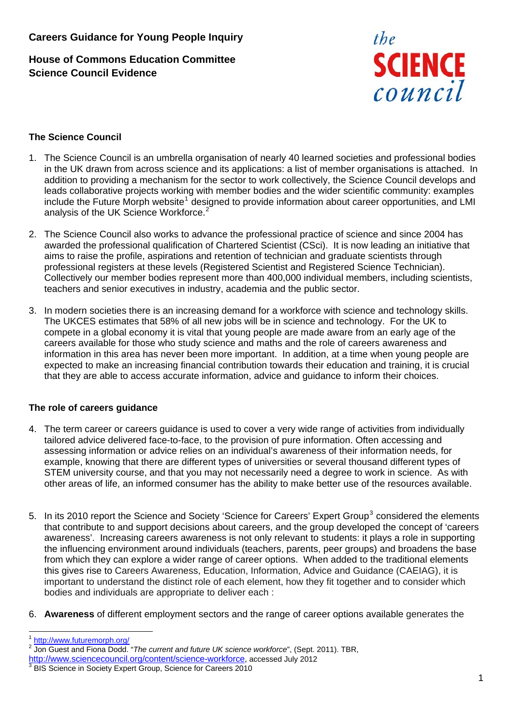# **House of Commons Education Committee Science Council Evidence**



### **The Science Council**

- 1. The Science Council is an umbrella organisation of nearly 40 learned societies and professional bodies in the UK drawn from across science and its applications: a list of member organisations is attached. In addition to providing a mechanism for the sector to work collectively, the Science Council develops and leads collaborative projects working with member bodies and the wider scientific community: examples include the Future Morph website<sup>[1](#page-0-0)</sup> designed to provide information about career opportunities, and LMI analysis of the UK Science Workforce.<sup>[2](#page-0-1)</sup>
- 2. The Science Council also works to advance the professional practice of science and since 2004 has awarded the professional qualification of Chartered Scientist (CSci). It is now leading an initiative that aims to raise the profile, aspirations and retention of technician and graduate scientists through professional registers at these levels (Registered Scientist and Registered Science Technician). Collectively our member bodies represent more than 400,000 individual members, including scientists, teachers and senior executives in industry, academia and the public sector.
- 3. In modern societies there is an increasing demand for a workforce with science and technology skills. The UKCES estimates that 58% of all new jobs will be in science and technology. For the UK to compete in a global economy it is vital that young people are made aware from an early age of the careers available for those who study science and maths and the role of careers awareness and information in this area has never been more important. In addition, at a time when young people are expected to make an increasing financial contribution towards their education and training, it is crucial that they are able to access accurate information, advice and guidance to inform their choices.

#### **The role of careers guidance**

- 4. The term career or careers guidance is used to cover a very wide range of activities from individually tailored advice delivered face-to-face, to the provision of pure information. Often accessing and assessing information or advice relies on an individual's awareness of their information needs, for example, knowing that there are different types of universities or several thousand different types of STEM university course, and that you may not necessarily need a degree to work in science. As with other areas of life, an informed consumer has the ability to make better use of the resources available.
- 5. In its 2010 report the Science and Society 'Science for Careers' Expert Group<sup>[3](#page-0-2)</sup> considered the elements that contribute to and support decisions about careers, and the group developed the concept of 'careers awareness'. Increasing careers awareness is not only relevant to students: it plays a role in supporting the influencing environment around individuals (teachers, parents, peer groups) and broadens the base from which they can explore a wider range of career options. When added to the traditional elements this gives rise to Careers Awareness, Education, Information, Advice and Guidance (CAEIAG), it is important to understand the distinct role of each element, how they fit together and to consider which bodies and individuals are appropriate to deliver each :
- 6. **Awareness** of different employment sectors and the range of career options available generates the

 $\overline{a}$  $\frac{1}{2}$  <http://www.futuremorph.org/><br> $\frac{1}{2}$  lep Cuest and Fiene Dodd

<span id="page-0-1"></span><span id="page-0-0"></span><sup>&</sup>lt;sup>2</sup> Jon Guest and Fiona Dodd. "The current and future UK science workforce", (Sept. 2011). TBR,

<http://www.sciencecouncil.org/content/science-workforce>, accessed July 2012

<span id="page-0-2"></span>BIS Science in Society Expert Group, Science for Careers 2010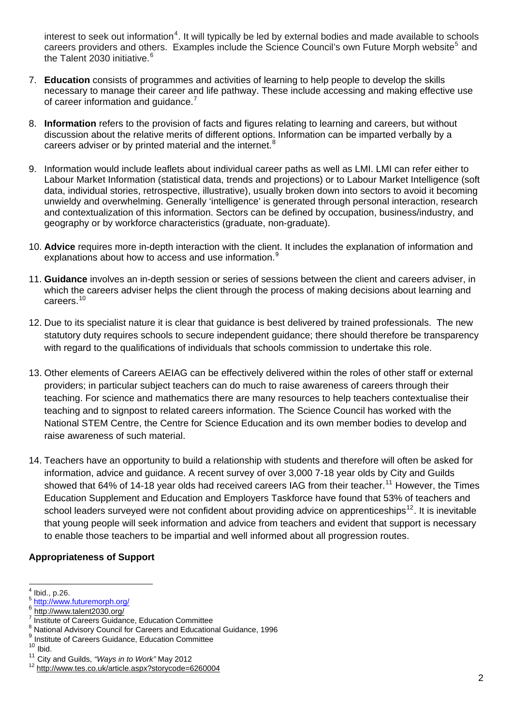interest to seek out information<sup>[4](#page-1-0)</sup>. It will typically be led by external bodies and made available to schools careers providers and others. Examples include the Science Council's own Future Morph website<sup>[5](#page-1-1)</sup> and the Talent 2030 initiative.<sup>[6](#page-1-2)</sup>

- 7. **Education** consists of programmes and activities of learning to help people to develop the skills necessary to manage their career and life pathway. These include accessing and making effective use of career information and guidance.<sup>[7](#page-1-3)</sup>
- 8. **Information** refers to the provision of facts and figures relating to learning and careers, but without discussion about the relative merits of different options. Information can be imparted verbally by a careers adviser or by printed material and the internet. $8$
- 9. Information would include leaflets about individual career paths as well as LMI. LMI can refer either to Labour Market Information (statistical data, trends and projections) or to Labour Market Intelligence (soft data, individual stories, retrospective, illustrative), usually broken down into sectors to avoid it becoming unwieldy and overwhelming. Generally 'intelligence' is generated through personal interaction, research and contextualization of this information. Sectors can be defined by occupation, business/industry, and geography or by workforce characteristics (graduate, non-graduate).
- 10. **Advice** requires more in-depth interaction with the client. It includes the explanation of information and explanations about how to access and use information.<sup>[9](#page-1-5)</sup>
- 11. **Guidance** involves an in-depth session or series of sessions between the client and careers adviser, in which the careers adviser helps the client through the process of making decisions about learning and careers.<sup>[10](#page-1-6)</sup>
- 12. Due to its specialist nature it is clear that guidance is best delivered by trained professionals. The new statutory duty requires schools to secure independent guidance; there should therefore be transparency with regard to the qualifications of individuals that schools commission to undertake this role.
- 13. Other elements of Careers AEIAG can be effectively delivered within the roles of other staff or external providers; in particular subject teachers can do much to raise awareness of careers through their teaching. For science and mathematics there are many resources to help teachers contextualise their teaching and to signpost to related careers information. The Science Council has worked with the National STEM Centre, the Centre for Science Education and its own member bodies to develop and raise awareness of such material.
- 14. Teachers have an opportunity to build a relationship with students and therefore will often be asked for information, advice and guidance. A recent survey of over 3,000 7-18 year olds by City and Guilds showed that 64% of 14-18 year olds had received careers IAG from their teacher.<sup>[11](#page-1-7)</sup> However, the Times Education Supplement and Education and Employers Taskforce have found that 53% of teachers and school leaders surveyed were not confident about providing advice on apprenticeships<sup>[12](#page-1-8)</sup>. It is inevitable that young people will seek information and advice from teachers and evident that support is necessary to enable those teachers to be impartial and well informed about all progression routes.

#### **Appropriateness of Support**

<span id="page-1-0"></span> $<sup>4</sup>$  Ibid., p.26.</sup>

<span id="page-1-1"></span> $\frac{5 \text{ http://www.futuremorph.org/}}{6 \text{ http://www.talent2030.org/}}$  $\frac{5 \text{ http://www.futuremorph.org/}}{6 \text{ http://www.talent2030.org/}}$  $\frac{5 \text{ http://www.futuremorph.org/}}{6 \text{ http://www.talent2030.org/}}$  $\frac{5 \text{ http://www.futuremorph.org/}}{6 \text{ http://www.talent2030.org/}}$  $\frac{5 \text{ http://www.futuremorph.org/}}{6 \text{ http://www.talent2030.org/}}$ 

<span id="page-1-2"></span>

<span id="page-1-3"></span>Institute of Careers Guidance, Education Committee

<span id="page-1-4"></span> $8$  National Advisory Council for Careers and Educational Guidance, 1996

<span id="page-1-5"></span><sup>9</sup> Institute of Careers Guidance, Education Committee<br><sup>10</sup> Ibid.

<span id="page-1-6"></span>

<span id="page-1-8"></span>

<span id="page-1-7"></span><sup>&</sup>lt;sup>11</sup> City and Guilds, *"Ways in to Work"* May 2012<br><sup>12</sup> htt<u>p://www.tes.co.uk/article.aspx?storycode=6260004</u>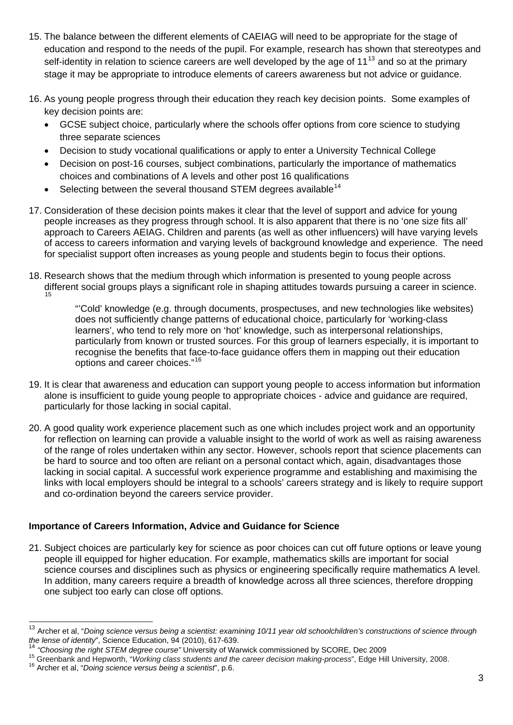- 15. The balance between the different elements of CAEIAG will need to be appropriate for the stage of education and respond to the needs of the pupil. For example, research has shown that stereotypes and self-identity in relation to science careers are well developed by the age of  $11^{13}$  $11^{13}$  $11^{13}$  and so at the primary stage it may be appropriate to introduce elements of careers awareness but not advice or guidance.
- 16. As young people progress through their education they reach key decision points. Some examples of key decision points are:
	- GCSE subject choice, particularly where the schools offer options from core science to studying three separate sciences
	- Decision to study vocational qualifications or apply to enter a University Technical College
	- Decision on post-16 courses, subject combinations, particularly the importance of mathematics choices and combinations of A levels and other post 16 qualifications
	- Selecting between the several thousand STEM degrees available<sup>[14](#page-2-1)</sup>
- 17. Consideration of these decision points makes it clear that the level of support and advice for young people increases as they progress through school. It is also apparent that there is no 'one size fits all' approach to Careers AEIAG. Children and parents (as well as other influencers) will have varying levels of access to careers information and varying levels of background knowledge and experience. The need for specialist support often increases as young people and students begin to focus their options.
- 18. Research shows that the medium through which information is presented to young people across different social groups plays a significant role in shaping attitudes towards pursuing a career in science. [15](#page-2-2)

"'Cold' knowledge (e.g. through documents, prospectuses, and new technologies like websites) does not sufficiently change patterns of educational choice, particularly for 'working-class learners', who tend to rely more on 'hot' knowledge, such as interpersonal relationships, particularly from known or trusted sources. For this group of learners especially, it is important to recognise the benefits that face-to-face guidance offers them in mapping out their education options and career choices."[16](#page-2-3)

- 19. It is clear that awareness and education can support young people to access information but information alone is insufficient to guide young people to appropriate choices - advice and guidance are required, particularly for those lacking in social capital.
- 20. A good quality work experience placement such as one which includes project work and an opportunity for reflection on learning can provide a valuable insight to the world of work as well as raising awareness of the range of roles undertaken within any sector. However, schools report that science placements can be hard to source and too often are reliant on a personal contact which, again, disadvantages those lacking in social capital. A successful work experience programme and establishing and maximising the links with local employers should be integral to a schools' careers strategy and is likely to require support and co-ordination beyond the careers service provider.

## **Importance of Careers Information, Advice and Guidance for Science**

21. Subject choices are particularly key for science as poor choices can cut off future options or leave young people ill equipped for higher education. For example, mathematics skills are important for social science courses and disciplines such as physics or engineering specifically require mathematics A level. In addition, many careers require a breadth of knowledge across all three sciences, therefore dropping one subject too early can close off options.

<span id="page-2-0"></span><sup>13</sup> Archer et al, "*Doing science versus being a scientist: examining 10/11 year old schoolchildren's constructions of science through* 

<span id="page-2-2"></span><span id="page-2-1"></span>

the lense of identity", Science Education, 94 (2010), 617-639.<br><sup>14</sup> "Choosing the right STEM degree course" University of Warwick commissioned by SCORE, Dec 2009<br><sup>15</sup> Greenbank and Hepworth, "*Working class students and th* 

<span id="page-2-3"></span>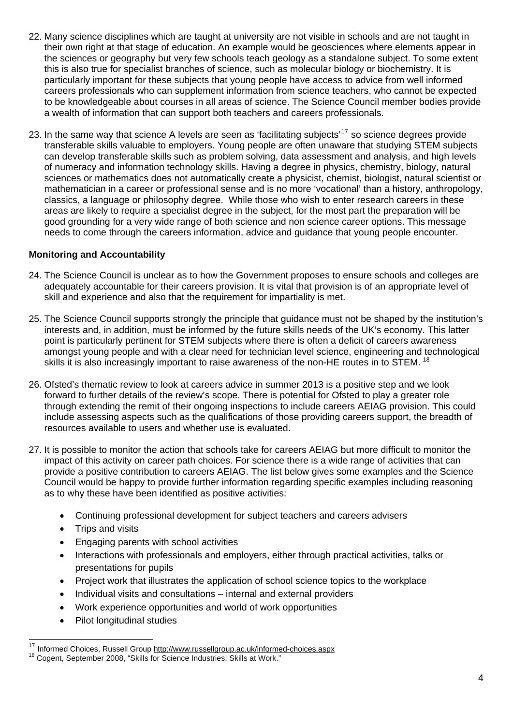- 22. Many science disciplines which are taught at university are not visible in schools and are not taught in their own right at that stage of education. An example would be geosciences where elements appear in the sciences or geography but very few schools teach geology as a standalone subject. To some extent this is also true for specialist branches of science, such as molecular biology or biochemistry. It is particularly important for these subjects that young people have access to advice from well informed careers professionals who can supplement information from science teachers, who cannot be expected to be knowledgeable about courses in all areas of science. The Science Council member bodies provide a wealth of information that can support both teachers and careers professionals.
- 23. In the same way that science A levels are seen as 'facilitating subjects'<sup>[17](#page-3-0)</sup> so science degrees provide transferable skills valuable to employers. Young people are often unaware that studying STEM subjects can develop transferable skills such as problem solving, data assessment and analysis, and high levels of numeracy and information technology skills. Having a degree in physics, chemistry, biology, natural sciences or mathematics does not automatically create a physicist, chemist, biologist, natural scientist or mathematician in a career or professional sense and is no more 'vocational' than a history, anthropology, classics, a language or philosophy degree. While those who wish to enter research careers in these areas are likely to require a specialist degree in the subject, for the most part the preparation will be good grounding for a very wide range of both science and non science career options. This message needs to come through the careers information, advice and guidance that young people encounter.

#### **Monitoring and Accountability**

- 24. The Science Council is unclear as to how the Government proposes to ensure schools and colleges are adequately accountable for their careers provision. It is vital that provision is of an appropriate level of skill and experience and also that the requirement for impartiality is met.
- 25. The Science Council supports strongly the principle that guidance must not be shaped by the institution's interests and, in addition, must be informed by the future skills needs of the UK's economy. This latter point is particularly pertinent for STEM subjects where there is often a deficit of careers awareness amongst young people and with a clear need for technician level science, engineering and technological skills it is also increasingly important to raise awareness of the non-HE routes in to STEM.  $^{18}$  $^{18}$  $^{18}$
- 26. Ofsted's thematic review to look at careers advice in summer 2013 is a positive step and we look forward to further details of the review's scope. There is potential for Ofsted to play a greater role through extending the remit of their ongoing inspections to include careers AEIAG provision. This could include assessing aspects such as the qualifications of those providing careers support, the breadth of resources available to users and whether use is evaluated.
- 27. It is possible to monitor the action that schools take for careers AEIAG but more difficult to monitor the impact of this activity on career path choices. For science there is a wide range of activities that can provide a positive contribution to careers AEIAG. The list below gives some examples and the Science Council would be happy to provide further information regarding specific examples including reasoning as to why these have been identified as positive activities:
	- Continuing professional development for subject teachers and careers advisers
	- Trips and visits

- Engaging parents with school activities
- Interactions with professionals and employers, either through practical activities, talks or presentations for pupils
- Project work that illustrates the application of school science topics to the workplace
- Individual visits and consultations internal and external providers
- Work experience opportunities and world of work opportunities
- Pilot longitudinal studies

<span id="page-3-0"></span><sup>&</sup>lt;sup>17</sup> Informed Choices, Russell Group <u>http://www.russellgroup.ac.uk/informed-choices.aspx</u><br><sup>18</sup> Cogent, September 2008, "Skills for Science Industries: Skills at Work."

<span id="page-3-1"></span>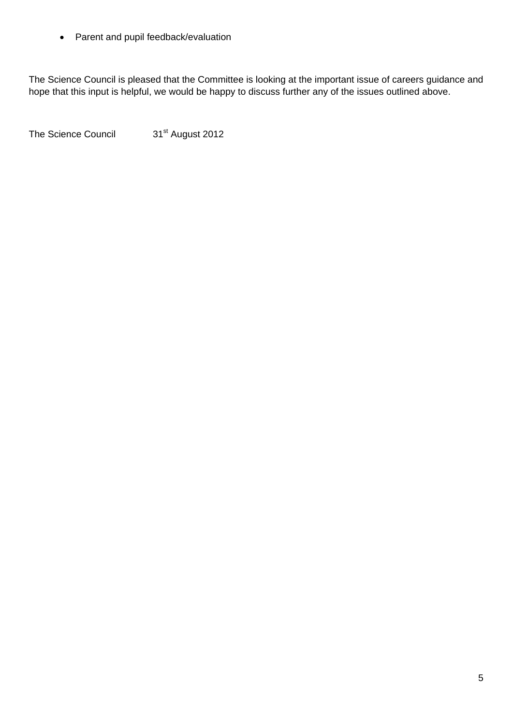• Parent and pupil feedback/evaluation

The Science Council is pleased that the Committee is looking at the important issue of careers guidance and hope that this input is helpful, we would be happy to discuss further any of the issues outlined above.

The Science Council 31<sup>st</sup> August 2012